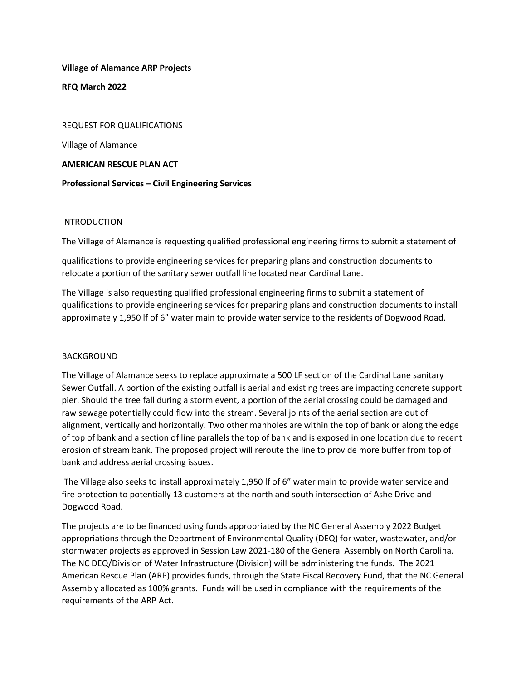## Village of Alamance ARP Projects

RFQ March 2022

REQUEST FOR QUALIFICATIONS

Village of Alamance

AMERICAN RESCUE PLAN ACT

# Professional Services – Civil Engineering Services

# INTRODUCTION

The Village of Alamance is requesting qualified professional engineering firms to submit a statement of

qualifications to provide engineering services for preparing plans and construction documents to relocate a portion of the sanitary sewer outfall line located near Cardinal Lane.

The Village is also requesting qualified professional engineering firms to submit a statement of qualifications to provide engineering services for preparing plans and construction documents to install approximately 1,950 lf of 6" water main to provide water service to the residents of Dogwood Road.

# **BACKGROUND**

The Village of Alamance seeks to replace approximate a 500 LF section of the Cardinal Lane sanitary Sewer Outfall. A portion of the existing outfall is aerial and existing trees are impacting concrete support pier. Should the tree fall during a storm event, a portion of the aerial crossing could be damaged and raw sewage potentially could flow into the stream. Several joints of the aerial section are out of alignment, vertically and horizontally. Two other manholes are within the top of bank or along the edge of top of bank and a section of line parallels the top of bank and is exposed in one location due to recent erosion of stream bank. The proposed project will reroute the line to provide more buffer from top of bank and address aerial crossing issues.

 The Village also seeks to install approximately 1,950 lf of 6" water main to provide water service and fire protection to potentially 13 customers at the north and south intersection of Ashe Drive and Dogwood Road.

The projects are to be financed using funds appropriated by the NC General Assembly 2022 Budget appropriations through the Department of Environmental Quality (DEQ) for water, wastewater, and/or stormwater projects as approved in Session Law 2021-180 of the General Assembly on North Carolina. The NC DEQ/Division of Water Infrastructure (Division) will be administering the funds. The 2021 American Rescue Plan (ARP) provides funds, through the State Fiscal Recovery Fund, that the NC General Assembly allocated as 100% grants. Funds will be used in compliance with the requirements of the requirements of the ARP Act.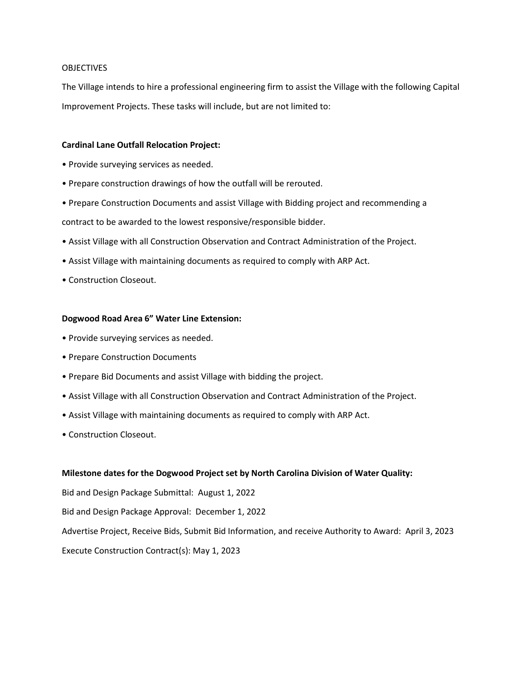### **OBJECTIVES**

The Village intends to hire a professional engineering firm to assist the Village with the following Capital Improvement Projects. These tasks will include, but are not limited to:

### Cardinal Lane Outfall Relocation Project:

- Provide surveying services as needed.
- Prepare construction drawings of how the outfall will be rerouted.
- Prepare Construction Documents and assist Village with Bidding project and recommending a

contract to be awarded to the lowest responsive/responsible bidder.

- Assist Village with all Construction Observation and Contract Administration of the Project.
- Assist Village with maintaining documents as required to comply with ARP Act.
- Construction Closeout.

## Dogwood Road Area 6" Water Line Extension:

- Provide surveying services as needed.
- Prepare Construction Documents
- Prepare Bid Documents and assist Village with bidding the project.
- Assist Village with all Construction Observation and Contract Administration of the Project.
- Assist Village with maintaining documents as required to comply with ARP Act.
- Construction Closeout.

## Milestone dates for the Dogwood Project set by North Carolina Division of Water Quality:

Bid and Design Package Submittal: August 1, 2022 Bid and Design Package Approval: December 1, 2022 Advertise Project, Receive Bids, Submit Bid Information, and receive Authority to Award: April 3, 2023 Execute Construction Contract(s): May 1, 2023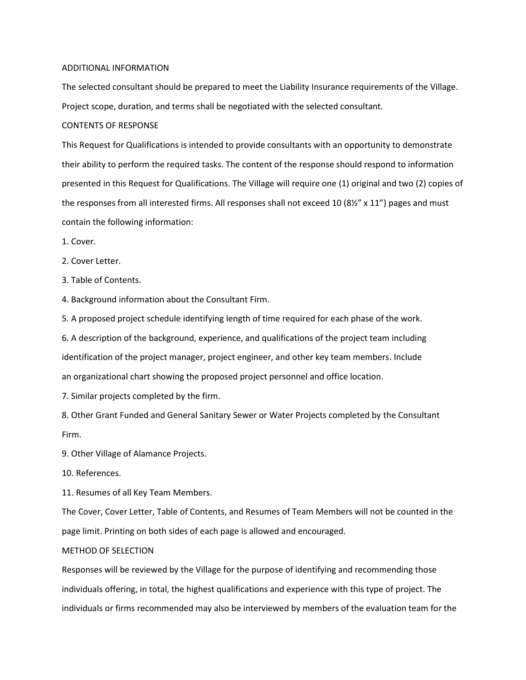#### ADDITIONAL INFORMATION

The selected consultant should be prepared to meet the Liability Insurance requirements of the Village. Project scope, duration, and terms shall be negotiated with the selected consultant.

#### CONTENTS OF RESPONSE

This Request for Qualifications is intended to provide consultants with an opportunity to demonstrate their ability to perform the required tasks. The content of the response should respond to information presented in this Request for Qualifications. The Village will require one (1) original and two (2) copies of the responses from all interested firms. All responses shall not exceed 10 (8½" x 11") pages and must contain the following information:

- 1. Cover.
- 2. Cover Letter.
- 3. Table of Contents.

4. Background information about the Consultant Firm.

5. A proposed project schedule identifying length of time required for each phase of the work.

6. A description of the background, experience, and qualifications of the project team including identification of the project manager, project engineer, and other key team members. Include an organizational chart showing the proposed project personnel and office location.

7. Similar projects completed by the firm.

8. Other Grant Funded and General Sanitary Sewer or Water Projects completed by the Consultant Firm.

9. Other Village of Alamance Projects.

10. References.

11. Resumes of all Key Team Members.

The Cover, Cover Letter, Table of Contents, and Resumes of Team Members will not be counted in the page limit. Printing on both sides of each page is allowed and encouraged.

### METHOD OF SELECTION

Responses will be reviewed by the Village for the purpose of identifying and recommending those individuals offering, in total, the highest qualifications and experience with this type of project. The individuals or firms recommended may also be interviewed by members of the evaluation team for the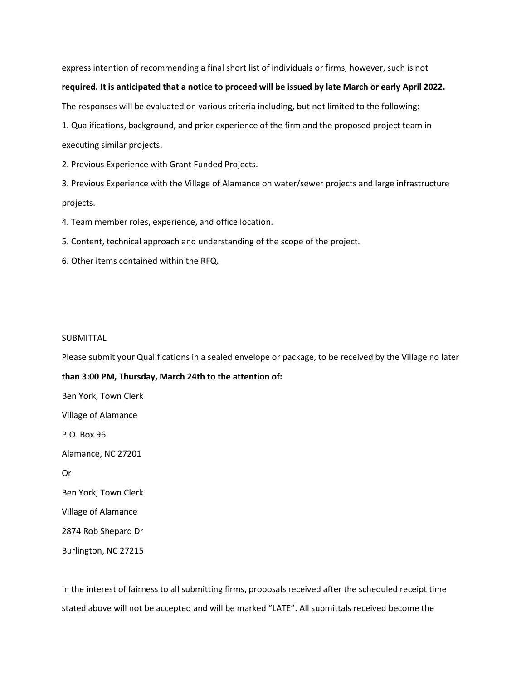express intention of recommending a final short list of individuals or firms, however, such is not

### required. It is anticipated that a notice to proceed will be issued by late March or early April 2022.

The responses will be evaluated on various criteria including, but not limited to the following:

1. Qualifications, background, and prior experience of the firm and the proposed project team in executing similar projects.

2. Previous Experience with Grant Funded Projects.

3. Previous Experience with the Village of Alamance on water/sewer projects and large infrastructure projects.

4. Team member roles, experience, and office location.

5. Content, technical approach and understanding of the scope of the project.

6. Other items contained within the RFQ.

#### SUBMITTAL

Please submit your Qualifications in a sealed envelope or package, to be received by the Village no later

than 3:00 PM, Thursday, March 24th to the attention of:

Ben York, Town Clerk Village of Alamance P.O. Box 96

Alamance, NC 27201

Or

Ben York, Town Clerk

Village of Alamance

2874 Rob Shepard Dr

Burlington, NC 27215

In the interest of fairness to all submitting firms, proposals received after the scheduled receipt time stated above will not be accepted and will be marked "LATE". All submittals received become the